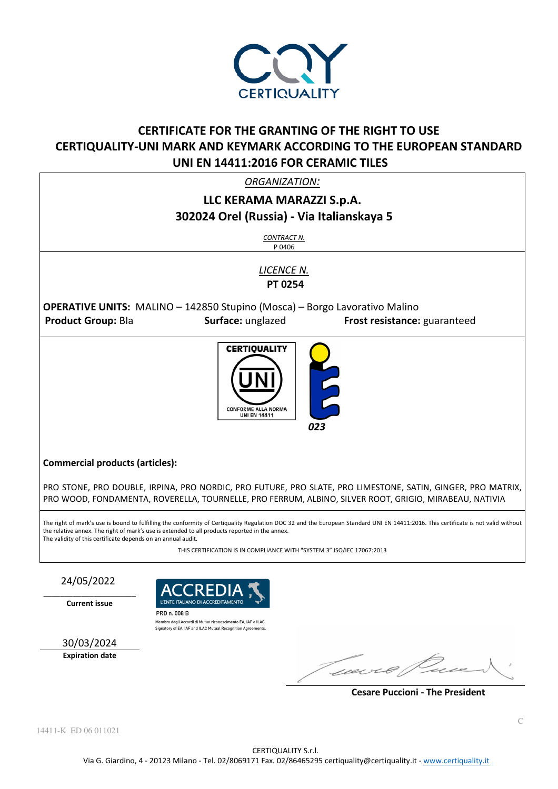

# **CERTIFICATE FOR THE GRANTING OF THE RIGHT TO USE CERTIQUALITY-UNI MARK AND KEYMARK ACCORDING TO THE EUROPEAN STANDARD UNI EN 14411:2016 FOR CERAMIC TILES**

*ORGANIZATION:* 

## **LLC KERAMA MARAZZI S.p.A. 302024 Orel (Russia) - Via Italianskaya 5**

*CONTRACT N.* P 0406

*LICENCE N.*   **PT 0254** 

**OPERATIVE UNITS:** MALINO – 142850 Stupino (Mosca) – Borgo Lavorativo Malino **Product Group:** BIa **Surface:** unglazed **Frost resistance:** guaranteed



#### **Commercial products (articles):**

PRO STONE, PRO DOUBLE, IRPINA, PRO NORDIC, PRO FUTURE, PRO SLATE, PRO LIMESTONE, SATIN, GINGER, PRO MATRIX, PRO WOOD, FONDAMENTA, ROVERELLA, TOURNELLE, PRO FERRUM, ALBINO, SILVER ROOT, GRIGIO, MIRABEAU, NATIVIA

The right of mark's use is bound to fulfilling the conformity of Certiquality Regulation DOC 32 and the European Standard UNI EN 14411:2016. This certificate is not valid without the relative annex. The right of mark's use is extended to all products reported in the annex. The validity of this certificate depends on an annual audit.

THIS CERTIFICATION IS IN COMPLIANCE WITH "SYSTEM 3" ISO/IEC 17067:2013

### 24/05/2022

 $\_$ **Current issue** 



Membro degli Accordi di Mutuo riconoscimento EA, IAF e ILAC. Signatory of EA, IAF and ILAC Mutual Recognition Agreement

30/03/2024

**Expiration date** 

weer

 **Cesare Puccioni - The President**

14411-K ED 06 011021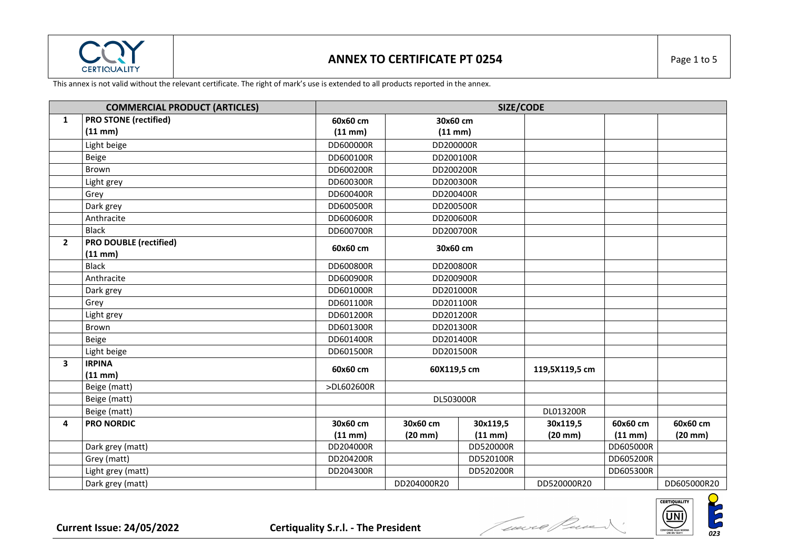

### **ANNEX TO CERTIFICATE PT 0254 Page 1 to 5**

|                | <b>COMMERCIAL PRODUCT (ARTICLES)</b> | SIZE/CODE    |              |             |                |              |              |
|----------------|--------------------------------------|--------------|--------------|-------------|----------------|--------------|--------------|
| $\mathbf{1}$   | <b>PRO STONE (rectified)</b>         | 60x60 cm     | 30x60 cm     |             |                |              |              |
|                | $(11$ mm $)$                         | $(11$ mm $)$ | $(11$ mm $)$ |             |                |              |              |
|                | Light beige                          | DD600000R    | DD200000R    |             |                |              |              |
|                | Beige                                | DD600100R    | DD200100R    |             |                |              |              |
|                | Brown                                | DD600200R    | DD200200R    |             |                |              |              |
|                | Light grey                           | DD600300R    | DD200300R    |             |                |              |              |
|                | Grey                                 | DD600400R    | DD200400R    |             |                |              |              |
|                | Dark grey                            | DD600500R    | DD200500R    |             |                |              |              |
|                | Anthracite                           | DD600600R    | DD200600R    |             |                |              |              |
|                | <b>Black</b>                         | DD600700R    | DD200700R    |             |                |              |              |
| $\overline{2}$ | <b>PRO DOUBLE (rectified)</b>        | 60x60 cm     | 30x60 cm     |             |                |              |              |
|                | (11 mm)                              |              |              |             |                |              |              |
|                | <b>Black</b>                         | DD600800R    | DD200800R    |             |                |              |              |
|                | Anthracite                           | DD600900R    | DD200900R    |             |                |              |              |
|                | Dark grey                            | DD601000R    | DD201000R    |             |                |              |              |
|                | Grey                                 | DD601100R    | DD201100R    |             |                |              |              |
|                | Light grey                           | DD601200R    | DD201200R    |             |                |              |              |
|                | Brown                                | DD601300R    | DD201300R    |             |                |              |              |
|                | Beige                                | DD601400R    |              | DD201400R   |                |              |              |
|                | Light beige                          | DD601500R    | DD201500R    |             |                |              |              |
| 3              | <b>IRPINA</b>                        | 60x60 cm     |              | 60X119,5 cm |                |              |              |
|                | (11 mm)                              |              |              |             | 119,5X119,5 cm |              |              |
|                | Beige (matt)                         | >DL602600R   |              |             |                |              |              |
|                | Beige (matt)                         |              | DL503000R    |             |                |              |              |
|                | Beige (matt)                         |              |              |             | DL013200R      |              |              |
| 4              | <b>PRO NORDIC</b>                    | 30x60 cm     | 30x60 cm     | 30x119,5    | 30x119,5       | 60x60 cm     | 60x60 cm     |
|                |                                      | $(11$ mm $)$ | $(20$ mm $)$ | (11 mm)     | $(20$ mm $)$   | $(11$ mm $)$ | $(20$ mm $)$ |
|                | Dark grey (matt)                     | DD204000R    |              | DD520000R   |                | DD605000R    |              |
|                | Grey (matt)                          | DD204200R    |              | DD520100R   |                | DD605200R    |              |
|                | Light grey (matt)                    | DD204300R    |              | DD520200R   |                | DD605300R    |              |
|                | Dark grey (matt)                     |              | DD204000R20  |             | DD520000R20    |              | DD605000R20  |

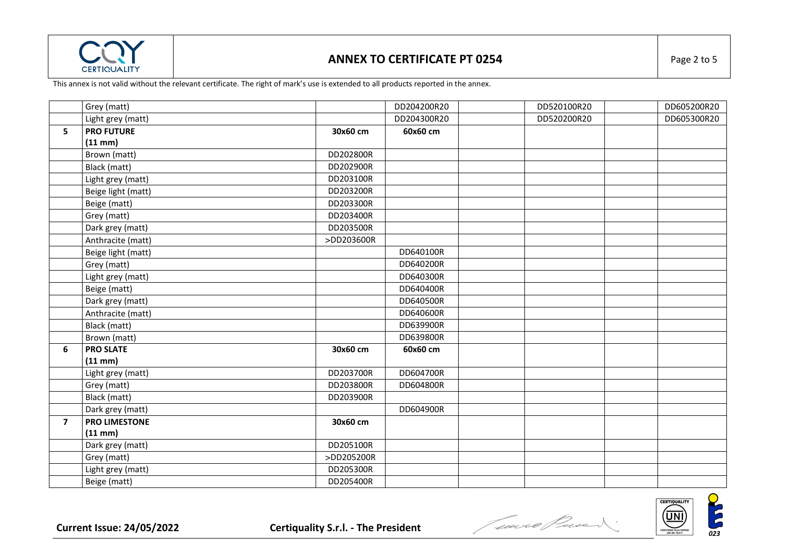

#### **ANNEX TO CERTIFICATE PT 0254 Page 2 to 5**

|                         | Grey (matt)          |            | DD204200R20 | DD520100R20 | DD605200R20 |
|-------------------------|----------------------|------------|-------------|-------------|-------------|
|                         | Light grey (matt)    |            | DD204300R20 | DD520200R20 | DD605300R20 |
| 5                       | <b>PRO FUTURE</b>    | 30x60 cm   | 60x60 cm    |             |             |
|                         | $(11$ mm $)$         |            |             |             |             |
|                         | Brown (matt)         | DD202800R  |             |             |             |
|                         | Black (matt)         | DD202900R  |             |             |             |
|                         | Light grey (matt)    | DD203100R  |             |             |             |
|                         | Beige light (matt)   | DD203200R  |             |             |             |
|                         | Beige (matt)         | DD203300R  |             |             |             |
|                         | Grey (matt)          | DD203400R  |             |             |             |
|                         | Dark grey (matt)     | DD203500R  |             |             |             |
|                         | Anthracite (matt)    | >DD203600R |             |             |             |
|                         | Beige light (matt)   |            | DD640100R   |             |             |
|                         | Grey (matt)          |            | DD640200R   |             |             |
|                         | Light grey (matt)    |            | DD640300R   |             |             |
|                         | Beige (matt)         |            | DD640400R   |             |             |
|                         | Dark grey (matt)     |            | DD640500R   |             |             |
|                         | Anthracite (matt)    |            | DD640600R   |             |             |
|                         | Black (matt)         |            | DD639900R   |             |             |
|                         | Brown (matt)         |            | DD639800R   |             |             |
| 6                       | <b>PRO SLATE</b>     | 30x60 cm   | 60x60 cm    |             |             |
|                         | $(11$ mm $)$         |            |             |             |             |
|                         | Light grey (matt)    | DD203700R  | DD604700R   |             |             |
|                         | Grey (matt)          | DD203800R  | DD604800R   |             |             |
|                         | Black (matt)         | DD203900R  |             |             |             |
|                         | Dark grey (matt)     |            | DD604900R   |             |             |
| $\overline{\mathbf{z}}$ | <b>PRO LIMESTONE</b> | 30x60 cm   |             |             |             |
|                         | $(11$ mm $)$         |            |             |             |             |
|                         | Dark grey (matt)     | DD205100R  |             |             |             |
|                         | Grey (matt)          | >DD205200R |             |             |             |
|                         | Light grey (matt)    | DD205300R  |             |             |             |
|                         | Beige (matt)         | DD205400R  |             |             |             |

Current Issue: 24/05/2022 **Certiquality S.r.l.** - The President *Current Issue***: 24/05/2022** Certiquality S.r.l. - The President *Current Issue***: 24/05/2022** 

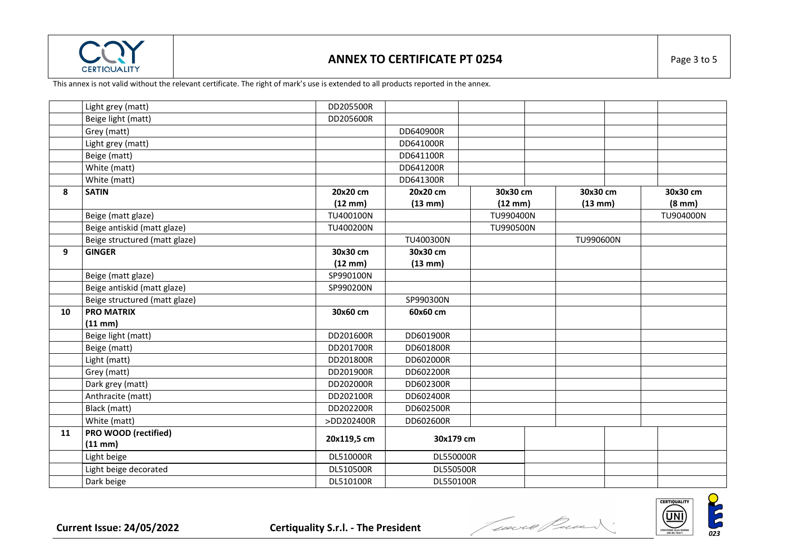

#### **ANNEX TO CERTIFICATE PT 0254 Page 3 to 5**

|    | Light grey (matt)             | DD205500R         |           |                   |                   |                  |
|----|-------------------------------|-------------------|-----------|-------------------|-------------------|------------------|
|    | Beige light (matt)            | DD205600R         |           |                   |                   |                  |
|    | Grey (matt)                   |                   | DD640900R |                   |                   |                  |
|    | Light grey (matt)             |                   | DD641000R |                   |                   |                  |
|    | Beige (matt)                  |                   | DD641100R |                   |                   |                  |
|    | White (matt)                  |                   | DD641200R |                   |                   |                  |
|    | White (matt)                  |                   | DD641300R |                   |                   |                  |
| 8  | <b>SATIN</b>                  | 20x20 cm          | 20x20 cm  | 30x30 cm          | 30x30 cm          | 30x30 cm         |
|    |                               | $(12 \text{ mm})$ | (13 mm)   | $(12 \text{ mm})$ | $(13 \text{ mm})$ | $(8 \text{ mm})$ |
|    | Beige (matt glaze)            | TU400100N         |           | TU990400N         |                   | TU904000N        |
|    | Beige antiskid (matt glaze)   | TU400200N         |           | TU990500N         |                   |                  |
|    | Beige structured (matt glaze) |                   | TU400300N |                   | TU990600N         |                  |
| 9  | <b>GINGER</b>                 | 30x30 cm          | 30x30 cm  |                   |                   |                  |
|    |                               | $(12 \text{ mm})$ | (13 mm)   |                   |                   |                  |
|    | Beige (matt glaze)            | SP990100N         |           |                   |                   |                  |
|    | Beige antiskid (matt glaze)   | SP990200N         |           |                   |                   |                  |
|    | Beige structured (matt glaze) |                   | SP990300N |                   |                   |                  |
| 10 | <b>PRO MATRIX</b>             | 30x60 cm          | 60x60 cm  |                   |                   |                  |
|    | $(11$ mm $)$                  |                   |           |                   |                   |                  |
|    | Beige light (matt)            | DD201600R         | DD601900R |                   |                   |                  |
|    | Beige (matt)                  | DD201700R         | DD601800R |                   |                   |                  |
|    | Light (matt)                  | DD201800R         | DD602000R |                   |                   |                  |
|    | Grey (matt)                   | DD201900R         | DD602200R |                   |                   |                  |
|    | Dark grey (matt)              | DD202000R         | DD602300R |                   |                   |                  |
|    | Anthracite (matt)             | DD202100R         | DD602400R |                   |                   |                  |
|    | Black (matt)                  | DD202200R         | DD602500R |                   |                   |                  |
|    | White (matt)                  | >DD202400R        | DD602600R |                   |                   |                  |
| 11 | PRO WOOD (rectified)          | 20x119,5 cm       | 30x179 cm |                   |                   |                  |
|    | $(11$ mm $)$                  |                   |           |                   |                   |                  |
|    | Light beige                   | DL510000R         | DL550000R |                   |                   |                  |
|    | Light beige decorated         | DL510500R         | DL550500R |                   |                   |                  |
|    | Dark beige                    | DL510100R         | DL550100R |                   |                   |                  |

Current Issue: 24/05/2022 **Certiquality S.r.l.** - The President *Current Issue***: 24/05/2022** Certiquality S.r.l. - The President *Current Constant***ion (DI)** 

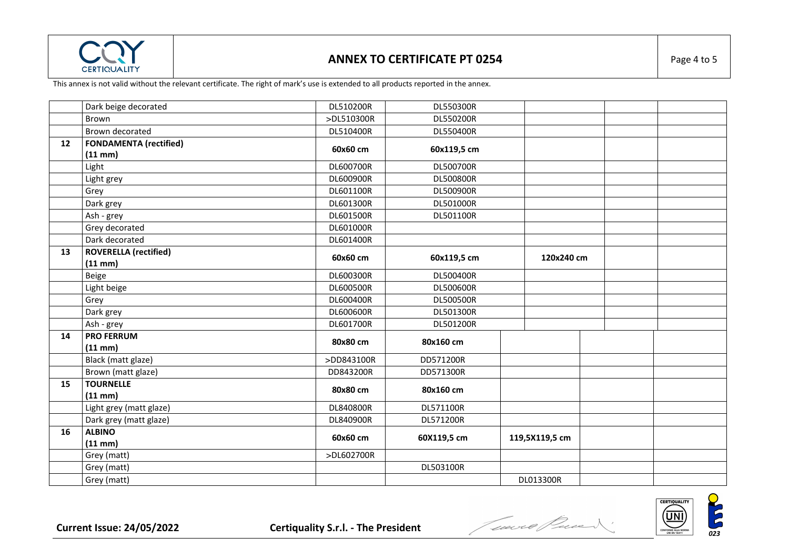

#### **ANNEX TO CERTIFICATE PT 0254 Page 4 to 5**

|    | Dark beige decorated          | DL510200R  | DL550300R        |                |  |
|----|-------------------------------|------------|------------------|----------------|--|
|    | Brown                         | >DL510300R | DL550200R        |                |  |
|    | Brown decorated               | DL510400R  | DL550400R        |                |  |
| 12 | <b>FONDAMENTA</b> (rectified) |            |                  |                |  |
|    | (11 mm)                       | 60x60 cm   | 60x119,5 cm      |                |  |
|    | Light                         | DL600700R  | DL500700R        |                |  |
|    | Light grey                    | DL600900R  | DL500800R        |                |  |
|    | Grey                          | DL601100R  | <b>DL500900R</b> |                |  |
|    | Dark grey                     | DL601300R  | DL501000R        |                |  |
|    | Ash - grey                    | DL601500R  | DL501100R        |                |  |
|    | Grey decorated                | DL601000R  |                  |                |  |
|    | Dark decorated                | DL601400R  |                  |                |  |
| 13 | <b>ROVERELLA</b> (rectified)  | 60x60 cm   | 60x119,5 cm      | 120x240 cm     |  |
|    | (11 mm)                       |            |                  |                |  |
|    | Beige                         | DL600300R  | DL500400R        |                |  |
|    | Light beige                   | DL600500R  | DL500600R        |                |  |
|    | Grey                          | DL600400R  | DL500500R        |                |  |
|    | Dark grey                     | DL600600R  | DL501300R        |                |  |
|    | Ash - grey                    | DL601700R  | DL501200R        |                |  |
| 14 | <b>PRO FERRUM</b>             | 80x80 cm   | 80x160 cm        |                |  |
|    | (11 mm)                       |            |                  |                |  |
|    | Black (matt glaze)            | >DD843100R | DD571200R        |                |  |
|    | Brown (matt glaze)            | DD843200R  | DD571300R        |                |  |
| 15 | <b>TOURNELLE</b>              | 80x80 cm   | 80x160 cm        |                |  |
|    | $(11$ mm $)$                  |            |                  |                |  |
|    | Light grey (matt glaze)       | DL840800R  | DL571100R        |                |  |
|    | Dark grey (matt glaze)        | DL840900R  | DL571200R        |                |  |
| 16 | <b>ALBINO</b>                 | 60x60 cm   | 60X119,5 cm      | 119,5X119,5 cm |  |
|    | $(11$ mm $)$                  |            |                  |                |  |
|    | Grey (matt)                   | >DL602700R |                  |                |  |
|    | Grey (matt)                   |            | DL503100R        |                |  |
|    | Grey (matt)                   |            |                  | DL013300R      |  |

Current Issue: 24/05/2022 **Certiquality S.r.l.** - The President *Conserver and the conserver***t of the Conservert of the Conservert of the Conservert of the Conservert of the Conservert of the Conservert of the Conservert**